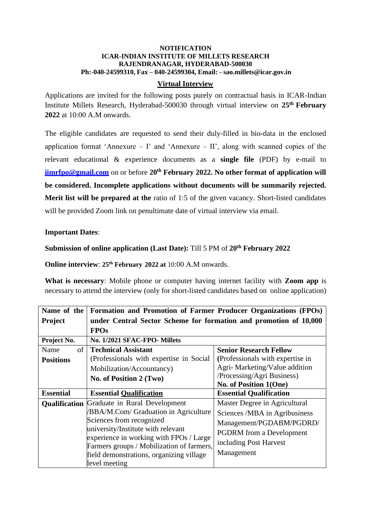### **NOTIFICATION ICAR-INDIAN INSTITUTE OF MILLETS RESEARCH RAJENDRANAGAR, HYDERABAD-500030 Ph:-040-24599310, Fax – 040-24599304, Email: - [sao.millets@icar.gov.in](mailto:sao.millets@icar.gov.in)**

### **Virtual Interview**

Applications are invited for the following posts purely on contractual basis in ICAR-Indian Institute Millets Research, Hyderabad-500030 through virtual interview on **25 th February 2022** at 10:00 A.M onwards.

The eligible candidates are requested to send their duly-filled in bio-data in the enclosed application format 'Annexure – I' and 'Annexure – II', along with scanned copies of the relevant educational & experience documents as a **single file** (PDF) by e-mail to **[iimrfpo@gmail.com](mailto:iimrfpo@gmail.com)** on or before **20th February 2022. No other format of application will be considered. Incomplete applications without documents will be summarily rejected. Merit list will be prepared at the** ratio of 1:5 of the given vacancy. Short-listed candidates will be provided Zoom link on penultimate date of virtual interview via email.

### **Important Dates**:

### **Submission of online application (Last Date):** Till 5 PM of **20th February 2022**

**Online interview**: **25th February 2022 at** 10:00 A.M onwards.

**What is necessary**: Mobile phone or computer having internet facility with **Zoom app** is necessary to attend the interview (only for short-listed candidates based on online application)

| Name of the      | <b>Formation and Promotion of Farmer Producer Organizations (FPOs)</b>        |                                                                                              |  |  |  |
|------------------|-------------------------------------------------------------------------------|----------------------------------------------------------------------------------------------|--|--|--|
| <b>Project</b>   | under Central Sector Scheme for formation and promotion of 10,000             |                                                                                              |  |  |  |
|                  | <b>FPOs</b>                                                                   |                                                                                              |  |  |  |
| Project No.      | No. 1/2021 SFAC-FPO- Millets                                                  |                                                                                              |  |  |  |
| Name             | of Technical Assistant                                                        | <b>Senior Research Fellow</b>                                                                |  |  |  |
| <b>Positions</b> | (Professionals with expertise in Social                                       | (Professionals with expertise in                                                             |  |  |  |
|                  | Mobilization/Accountancy)                                                     | Agri-Marketing/Value addition                                                                |  |  |  |
|                  | No. of Position 2 (Two)                                                       | /Processing/Agri Business)                                                                   |  |  |  |
|                  |                                                                               | No. of Position 1(One)                                                                       |  |  |  |
| <b>Essential</b> | <b>Essential Qualification</b>                                                | <b>Essential Qualification</b>                                                               |  |  |  |
| Qualification    | Graduate in Rural Development                                                 | Master Degree in Agricultural                                                                |  |  |  |
|                  | <b>BBA/M.Com/ Graduation in Agriculture</b>                                   | Sciences /MBA in Agribusiness<br>Management/PGDABM/PGDRD/<br><b>PGDRM</b> from a Development |  |  |  |
|                  | Sciences from recognized                                                      |                                                                                              |  |  |  |
|                  | university/Institute with relevant<br>experience in working with FPOs / Large |                                                                                              |  |  |  |
|                  |                                                                               | including Post Harvest                                                                       |  |  |  |
|                  | Farmers groups / Mobilization of farmers,                                     |                                                                                              |  |  |  |
|                  | field demonstrations, organizing village                                      | Management                                                                                   |  |  |  |
|                  | level meeting                                                                 |                                                                                              |  |  |  |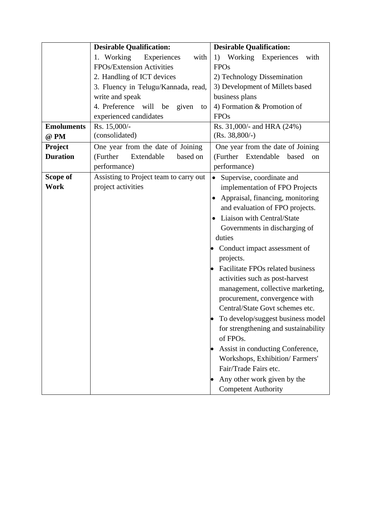|                   | <b>Desirable Qualification:</b>         | <b>Desirable Qualification:</b>        |  |  |  |
|-------------------|-----------------------------------------|----------------------------------------|--|--|--|
|                   | 1. Working<br>Experiences<br>with       | Working Experiences<br>with<br>1)      |  |  |  |
|                   | FPOs/Extension Activities               | <b>FPOs</b>                            |  |  |  |
|                   | 2. Handling of ICT devices              | 2) Technology Dissemination            |  |  |  |
|                   | 3. Fluency in Telugu/Kannada, read,     | 3) Development of Millets based        |  |  |  |
|                   | write and speak                         | business plans                         |  |  |  |
|                   | 4. Preference will<br>be<br>given<br>to | 4) Formation & Promotion of            |  |  |  |
|                   | experienced candidates                  | <b>FPOs</b>                            |  |  |  |
| <b>Emoluments</b> | Rs. 15,000/-                            | Rs. 31,000/- and HRA (24%)             |  |  |  |
| @ PM              | (consolidated)                          | $(Rs. 38,800/-)$                       |  |  |  |
| Project           | One year from the date of Joining       | One year from the date of Joining      |  |  |  |
| <b>Duration</b>   | (Further<br>Extendable<br>based on      | (Further Extendable<br>based<br>on     |  |  |  |
|                   | performance)                            | performance)                           |  |  |  |
| Scope of          | Assisting to Project team to carry out  | Supervise, coordinate and<br>$\bullet$ |  |  |  |
| Work              | project activities                      | implementation of FPO Projects         |  |  |  |
|                   |                                         | Appraisal, financing, monitoring       |  |  |  |
|                   |                                         | and evaluation of FPO projects.        |  |  |  |
|                   |                                         | Liaison with Central/State             |  |  |  |
|                   |                                         | Governments in discharging of          |  |  |  |
|                   |                                         | duties                                 |  |  |  |
|                   |                                         | Conduct impact assessment of           |  |  |  |
|                   |                                         | projects.                              |  |  |  |
|                   |                                         | Facilitate FPOs related business       |  |  |  |
|                   |                                         | activities such as post-harvest        |  |  |  |
|                   |                                         | management, collective marketing,      |  |  |  |
|                   |                                         | procurement, convergence with          |  |  |  |
|                   |                                         | Central/State Govt schemes etc.        |  |  |  |
|                   |                                         | To develop/suggest business model      |  |  |  |
|                   |                                         | for strengthening and sustainability   |  |  |  |
|                   |                                         | of FPOs.                               |  |  |  |
|                   |                                         | Assist in conducting Conference,       |  |  |  |
|                   |                                         | Workshops, Exhibition/Farmers'         |  |  |  |
|                   |                                         | Fair/Trade Fairs etc.                  |  |  |  |
|                   |                                         | Any other work given by the            |  |  |  |
|                   |                                         | <b>Competent Authority</b>             |  |  |  |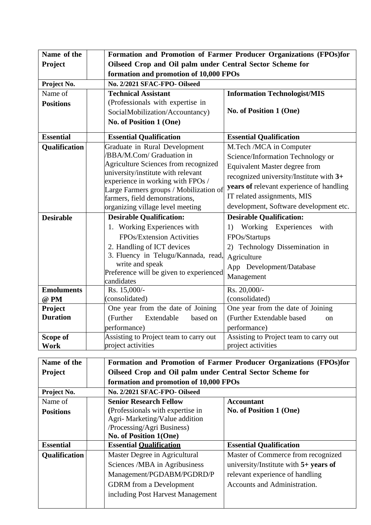| Name of the       |                                                                    | Formation and Promotion of Farmer Producer Organizations (FPOs)for |  |  |  |  |
|-------------------|--------------------------------------------------------------------|--------------------------------------------------------------------|--|--|--|--|
| Project           |                                                                    | Oilseed Crop and Oil palm under Central Sector Scheme for          |  |  |  |  |
|                   | formation and promotion of 10,000 FPOs                             |                                                                    |  |  |  |  |
| Project No.       | No. 2/2021 SFAC-FPO- Oilseed                                       |                                                                    |  |  |  |  |
| Name of           | <b>Technical Assistant</b>                                         | <b>Information Technologist/MIS</b>                                |  |  |  |  |
| <b>Positions</b>  | (Professionals with expertise in                                   |                                                                    |  |  |  |  |
|                   | SocialMobilization/Accountancy)                                    | No. of Position 1 (One)                                            |  |  |  |  |
|                   | No. of Position 1 (One)                                            |                                                                    |  |  |  |  |
| <b>Essential</b>  | <b>Essential Qualification</b>                                     | <b>Essential Qualification</b>                                     |  |  |  |  |
| Qualification     | Graduate in Rural Development                                      | M.Tech /MCA in Computer                                            |  |  |  |  |
|                   | /BBA/M.Com/ Graduation in                                          | Science/Information Technology or                                  |  |  |  |  |
|                   | Agriculture Sciences from recognized                               | <b>Equivalent Master degree from</b>                               |  |  |  |  |
|                   | university/institute with relevant                                 | recognized university/Institute with 3+                            |  |  |  |  |
|                   | experience in working with FPOs /                                  | years of relevant experience of handling                           |  |  |  |  |
|                   | Large Farmers groups / Mobilization of                             | IT related assignments, MIS                                        |  |  |  |  |
|                   | farmers, field demonstrations,<br>organizing village level meeting | development, Software development etc.                             |  |  |  |  |
|                   |                                                                    |                                                                    |  |  |  |  |
| <b>Desirable</b>  | <b>Desirable Qualification:</b>                                    | <b>Desirable Qualification:</b>                                    |  |  |  |  |
|                   | 1. Working Experiences with                                        | Working Experiences with<br>1)                                     |  |  |  |  |
|                   | FPOs/Extension Activities                                          | FPOs/Startups                                                      |  |  |  |  |
|                   | 2. Handling of ICT devices                                         | 2) Technology Dissemination in                                     |  |  |  |  |
|                   | 3. Fluency in Telugu/Kannada, read,<br>write and speak             | Agriculture                                                        |  |  |  |  |
|                   | Preference will be given to experienced                            | App Development/Database                                           |  |  |  |  |
|                   | candidates                                                         | Management                                                         |  |  |  |  |
| <b>Emoluments</b> | Rs. 15,000/-                                                       | Rs. 20,000/-                                                       |  |  |  |  |
| @ PM              | (consolidated)                                                     | (consolidated)                                                     |  |  |  |  |
| <b>Project</b>    | One year from the date of Joining                                  | One year from the date of Joining                                  |  |  |  |  |
| <b>Duration</b>   | (Further<br>Extendable<br>based on                                 | (Further Extendable based<br>on                                    |  |  |  |  |
|                   | performance)                                                       | performance)                                                       |  |  |  |  |
| Scope of          | Assisting to Project team to carry out                             | Assisting to Project team to carry out                             |  |  |  |  |
| <b>Work</b>       | project activities                                                 | project activities                                                 |  |  |  |  |
|                   |                                                                    |                                                                    |  |  |  |  |
| Name of the       |                                                                    | Formation and Promotion of Farmer Producer Organizations (FPOs)for |  |  |  |  |
| Project           | Oilseed Crop and Oil palm under Central Sector Scheme for          |                                                                    |  |  |  |  |
|                   |                                                                    | formation and promotion of 10,000 FPOs                             |  |  |  |  |
| Project No.       | No. 2/2021 SFAC-FPO- Oilseed                                       |                                                                    |  |  |  |  |
| Name of           | <b>Senior Research Fellow</b>                                      | <b>Accountant</b>                                                  |  |  |  |  |
| <b>Positions</b>  | (Professionals with expertise in<br>No. of Position 1 (One)        |                                                                    |  |  |  |  |

| 1 VARIJU 10          | Agri-Marketing/Value addition<br>/Processing/Agri Business)<br>No. of Position 1(One) |                                         |
|----------------------|---------------------------------------------------------------------------------------|-----------------------------------------|
| <b>Essential</b>     | <b>Essential Oualification</b>                                                        | <b>Essential Qualification</b>          |
| <b>Qualification</b> | Master Degree in Agricultural                                                         | Master of Commerce from recognized      |
|                      | Sciences /MBA in Agribusiness                                                         | university/Institute with $5+$ years of |
|                      | Management/PGDABM/PGDRD/P                                                             | relevant experience of handling         |
|                      | <b>GDRM</b> from a Development                                                        | Accounts and Administration.            |
|                      | including Post Harvest Management                                                     |                                         |
|                      |                                                                                       |                                         |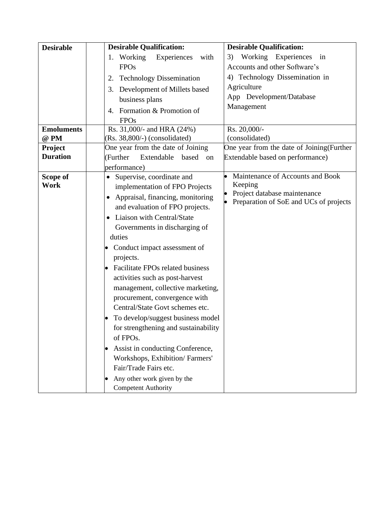| <b>Desirable</b>  | <b>Desirable Qualification:</b>       | <b>Desirable Qualification:</b>                                        |  |  |  |
|-------------------|---------------------------------------|------------------------------------------------------------------------|--|--|--|
|                   | 1. Working<br>Experiences<br>with     | Working Experiences<br>3)<br>in                                        |  |  |  |
|                   | <b>FPOs</b>                           | Accounts and other Software's                                          |  |  |  |
|                   | <b>Technology Dissemination</b><br>2. | 4) Technology Dissemination in                                         |  |  |  |
|                   | 3. Development of Millets based       | Agriculture                                                            |  |  |  |
|                   | business plans                        | App Development/Database                                               |  |  |  |
|                   | 4. Formation & Promotion of           | Management                                                             |  |  |  |
|                   | <b>FPOs</b>                           |                                                                        |  |  |  |
| <b>Emoluments</b> | Rs. 31,000/- and HRA (24%)            | Rs. 20,000/-                                                           |  |  |  |
| @ PM              | (Rs. 38,800/-) (consolidated)         | (consolidated)                                                         |  |  |  |
| Project           | One year from the date of Joining     | One year from the date of Joining (Further                             |  |  |  |
| <b>Duration</b>   | (Further<br>Extendable<br>based<br>on | Extendable based on performance)                                       |  |  |  |
|                   | performance)                          |                                                                        |  |  |  |
| Scope of          | Supervise, coordinate and             | Maintenance of Accounts and Book                                       |  |  |  |
| Work              | implementation of FPO Projects        | Keeping                                                                |  |  |  |
|                   | Appraisal, financing, monitoring      | Project database maintenance<br>Preparation of SoE and UCs of projects |  |  |  |
|                   | and evaluation of FPO projects.       |                                                                        |  |  |  |
|                   | Liaison with Central/State<br>٠       |                                                                        |  |  |  |
|                   | Governments in discharging of         |                                                                        |  |  |  |
|                   | duties                                |                                                                        |  |  |  |
|                   | Conduct impact assessment of          |                                                                        |  |  |  |
|                   | projects.                             |                                                                        |  |  |  |
|                   | Facilitate FPOs related business      |                                                                        |  |  |  |
|                   | activities such as post-harvest       |                                                                        |  |  |  |
|                   | management, collective marketing,     |                                                                        |  |  |  |
|                   | procurement, convergence with         |                                                                        |  |  |  |
|                   | Central/State Govt schemes etc.       |                                                                        |  |  |  |
|                   | To develop/suggest business model     |                                                                        |  |  |  |
|                   | for strengthening and sustainability  |                                                                        |  |  |  |
|                   | of FPOs.                              |                                                                        |  |  |  |
|                   | Assist in conducting Conference,      |                                                                        |  |  |  |
|                   | Workshops, Exhibition/Farmers'        |                                                                        |  |  |  |
|                   | Fair/Trade Fairs etc.                 |                                                                        |  |  |  |
|                   | Any other work given by the           |                                                                        |  |  |  |
|                   | <b>Competent Authority</b>            |                                                                        |  |  |  |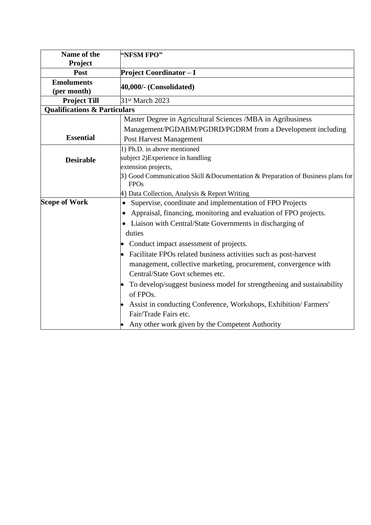| Name of the                             | "NFSM FPO"                                                                             |  |
|-----------------------------------------|----------------------------------------------------------------------------------------|--|
| Project                                 |                                                                                        |  |
| Post                                    | <b>Project Coordinator - I</b>                                                         |  |
| <b>Emoluments</b><br>(per month)        | 40,000/- (Consolidated)                                                                |  |
| <b>Project Till</b>                     | 31st March 2023                                                                        |  |
| <b>Qualifications &amp; Particulars</b> |                                                                                        |  |
|                                         | Master Degree in Agricultural Sciences /MBA in Agribusiness                            |  |
|                                         | Management/PGDABM/PGDRD/PGDRM from a Development including                             |  |
| <b>Essential</b>                        | Post Harvest Management                                                                |  |
|                                         | 1) Ph.D. in above mentioned                                                            |  |
| <b>Desirable</b>                        | subject 2)Experience in handling                                                       |  |
|                                         | extension projects,                                                                    |  |
|                                         | $\beta$ ) Good Communication Skill & Documentation & Preparation of Business plans for |  |
|                                         | <b>FPOs</b>                                                                            |  |
|                                         | 4) Data Collection, Analysis & Report Writing                                          |  |
| <b>Scope of Work</b>                    | Supervise, coordinate and implementation of FPO Projects<br>$\bullet$                  |  |
|                                         | Appraisal, financing, monitoring and evaluation of FPO projects.                       |  |
|                                         | • Liaison with Central/State Governments in discharging of                             |  |
|                                         | duties                                                                                 |  |
|                                         | Conduct impact assessment of projects.                                                 |  |
|                                         | Facilitate FPOs related business activities such as post-harvest                       |  |
|                                         | management, collective marketing, procurement, convergence with                        |  |
|                                         | Central/State Govt schemes etc.                                                        |  |
|                                         | To develop/suggest business model for strengthening and sustainability                 |  |
|                                         | of FPOs.                                                                               |  |
|                                         | Assist in conducting Conference, Workshops, Exhibition/Farmers'                        |  |
|                                         | Fair/Trade Fairs etc.                                                                  |  |
|                                         | Any other work given by the Competent Authority                                        |  |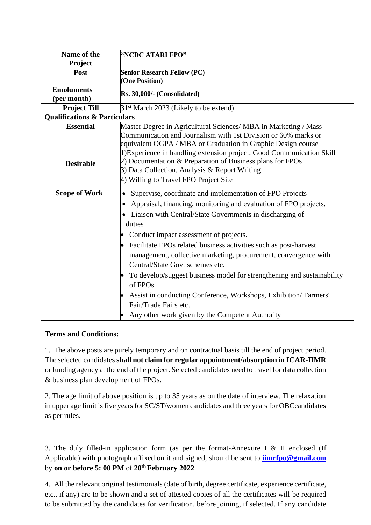| Name of the<br>Project                  | "NCDC ATARI FPO"                                                       |  |
|-----------------------------------------|------------------------------------------------------------------------|--|
| Post                                    | <b>Senior Research Fellow (PC)</b>                                     |  |
|                                         | (One Position)                                                         |  |
| <b>Emoluments</b>                       |                                                                        |  |
| (per month)                             | Rs. 30,000/- (Consolidated)                                            |  |
| <b>Project Till</b>                     | 31 <sup>st</sup> March 2023 (Likely to be extend)                      |  |
| <b>Qualifications &amp; Particulars</b> |                                                                        |  |
| <b>Essential</b>                        | Master Degree in Agricultural Sciences/ MBA in Marketing / Mass        |  |
|                                         | Communication and Journalism with 1st Division or 60% marks or         |  |
|                                         | equivalent OGPA / MBA or Graduation in Graphic Design course           |  |
|                                         | 1) Experience in handling extension project, Good Communication Skill  |  |
| <b>Desirable</b>                        | 2) Documentation & Preparation of Business plans for FPOs              |  |
|                                         | 3) Data Collection, Analysis & Report Writing                          |  |
|                                         | 4) Willing to Travel FPO Project Site                                  |  |
| <b>Scope of Work</b>                    | Supervise, coordinate and implementation of FPO Projects               |  |
|                                         | Appraisal, financing, monitoring and evaluation of FPO projects.       |  |
|                                         | • Liaison with Central/State Governments in discharging of             |  |
|                                         |                                                                        |  |
|                                         | duties                                                                 |  |
|                                         | Conduct impact assessment of projects.                                 |  |
|                                         | Facilitate FPOs related business activities such as post-harvest       |  |
|                                         | management, collective marketing, procurement, convergence with        |  |
|                                         | Central/State Govt schemes etc.                                        |  |
|                                         | To develop/suggest business model for strengthening and sustainability |  |
|                                         | of FPOs.                                                               |  |
|                                         | Assist in conducting Conference, Workshops, Exhibition/Farmers'        |  |
|                                         | Fair/Trade Fairs etc.                                                  |  |
|                                         | Any other work given by the Competent Authority                        |  |
|                                         |                                                                        |  |

# **Terms and Conditions:**

1. The above posts are purely temporary and on contractual basis till the end of project period. The selected candidates **shall not claim for regular appointment/absorption in ICAR-IIMR**  or funding agency at the end of the project. Selected candidates need to travel for data collection & business plan development of FPOs.

2. The age limit of above position is up to 35 years as on the date of interview. The relaxation in upper age limit is five years for SC/ST/women candidates and three years for OBCcandidates as per rules.

3. The duly filled-in application form (as per the format-Annexure I & II enclosed (If Applicable) with photograph affixed on it and signed, should be sent to **[iimrfpo@gmail.com](mailto:iimrfpo@gmail.com)** by **on or before 5: 00 PM** of **20th February 2022**

4. All the relevant original testimonials (date of birth, degree certificate, experience certificate, etc., if any) are to be shown and a set of attested copies of all the certificates will be required to be submitted by the candidates for verification, before joining, if selected. If any candidate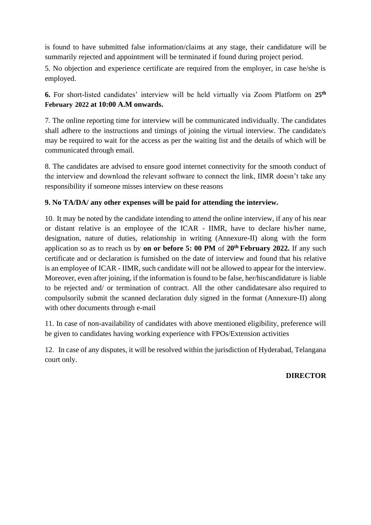is found to have submitted false information/claims at any stage, their candidature will be summarily rejected and appointment will be terminated if found during project period.

5. No objection and experience certificate are required from the employer, in case he/she is employed.

**6.** For short-listed candidates' interview will be held virtually via Zoom Platform on **25th February 2022 at 10:00 A.M onwards.**

7. The online reporting time for interview will be communicated individually. The candidates shall adhere to the instructions and timings of joining the virtual interview. The candidate/s may be required to wait for the access as per the waiting list and the details of which will be communicated through email.

8. The candidates are advised to ensure good internet connectivity for the smooth conduct of the interview and download the relevant software to connect the link, IIMR doesn't take any responsibility if someone misses interview on these reasons

# **9. No TA/DA/ any other expenses will be paid for attending the interview.**

10. It may be noted by the candidate intending to attend the online interview, if any of his near or distant relative is an employee of the ICAR - IIMR, have to declare his/her name, designation, nature of duties, relationship in writing (Annexure-II) along with the form application so as to reach us by **on or before 5: 00 PM** of **20th February 2022.** If any such certificate and or declaration is furnished on the date of interview and found that his relative is an employee of ICAR - IIMR, such candidate will not be allowed to appear for the interview. Moreover, even after joining, if the information is found to be false, her/hiscandidature is liable to be rejected and/ or termination of contract. All the other candidatesare also required to compulsorily submit the scanned declaration duly signed in the format (Annexure-II) along with other documents through e-mail

11. In case of non-availability of candidates with above mentioned eligibility, preference will be given to candidates having working experience with FPOs/Extension activities

12. In case of any disputes, it will be resolved within the jurisdiction of Hyderabad, Telangana court only.

# **DIRECTOR**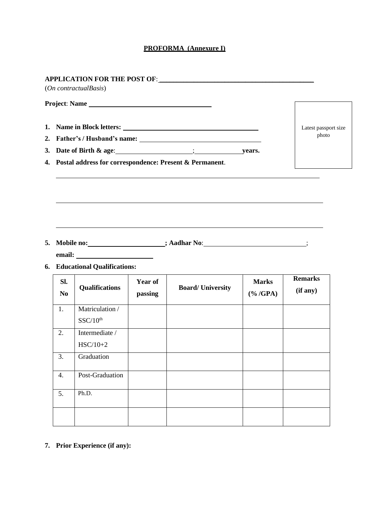## **PROFORMA (Annexure I)**

|                       | Project: Name                                                                               |                    |                                                                    |                              |                            |
|-----------------------|---------------------------------------------------------------------------------------------|--------------------|--------------------------------------------------------------------|------------------------------|----------------------------|
|                       |                                                                                             |                    | 1. Name in Block letters:                                          |                              | Latest passport size       |
| 2.                    |                                                                                             | photo              |                                                                    |                              |                            |
|                       | 3. Date of Birth $\&$ age: $\qquad \qquad$ [30] $\qquad \qquad$ [30] $\qquad \qquad$ years. |                    |                                                                    |                              |                            |
|                       | 4. Postal address for correspondence: Present & Permanent.                                  |                    |                                                                    |                              |                            |
|                       |                                                                                             |                    |                                                                    |                              |                            |
| 5.                    | <b>6.</b> Educational Qualifications:                                                       |                    | Mobile no: _____________________; Aadhar No: ____________________; |                              |                            |
| SI.<br>N <sub>0</sub> | <b>Qualifications</b>                                                                       | Year of<br>passing | <b>Board/University</b>                                            | <b>Marks</b><br>$(\% / GPA)$ | <b>Remarks</b><br>(if any) |
| 1.                    | Matriculation /<br>SSC/10 <sup>th</sup>                                                     |                    |                                                                    |                              |                            |
| 2.                    | Intermediate /<br>$HSC/10+2$                                                                |                    |                                                                    |                              |                            |
| 3.                    | Graduation                                                                                  |                    |                                                                    |                              |                            |
| 4.                    | Post-Graduation                                                                             |                    |                                                                    |                              |                            |

**7. Prior Experience (if any):**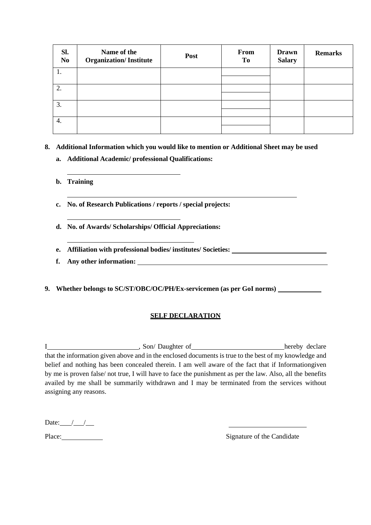| Sl.<br>N <sub>0</sub> | Name of the<br><b>Organization/Institute</b> | Post | From<br>To | <b>Drawn</b><br><b>Salary</b> | <b>Remarks</b> |
|-----------------------|----------------------------------------------|------|------------|-------------------------------|----------------|
| 1.                    |                                              |      |            |                               |                |
|                       |                                              |      |            |                               |                |
| 2.                    |                                              |      |            |                               |                |
|                       |                                              |      |            |                               |                |
| 3.                    |                                              |      |            |                               |                |
|                       |                                              |      |            |                               |                |
| 4.                    |                                              |      |            |                               |                |
|                       |                                              |      |            |                               |                |

**8. Additional Information which you would like to mention or Additional Sheet may be used**

- **a. Additional Academic/ professional Qualifications:**
- **b. Training**
- **c. No. of Research Publications / reports / special projects:**
- **d. No. of Awards/ Scholarships/ Official Appreciations:**
- **e. Affiliation with professional bodies/ institutes/ Societies:**
- **f. Any other information:**
- **9. Whether belongs to SC/ST/OBC/OC/PH/Ex-servicemen (as per GoI norms)**

# **SELF DECLARATION**

I hereby declare (Son/Daughter of hereby declare that the information given above and in the enclosed documents is true to the best of my knowledge and belief and nothing has been concealed therein. I am well aware of the fact that if Informationgiven by me is proven false/ not true, I will have to face the punishment as per the law. Also, all the benefits availed by me shall be summarily withdrawn and I may be terminated from the services without assigning any reasons.

Date: $\frac{1}{\sqrt{1-\frac{1}{2}}}$ 

Place: Signature of the Candidate